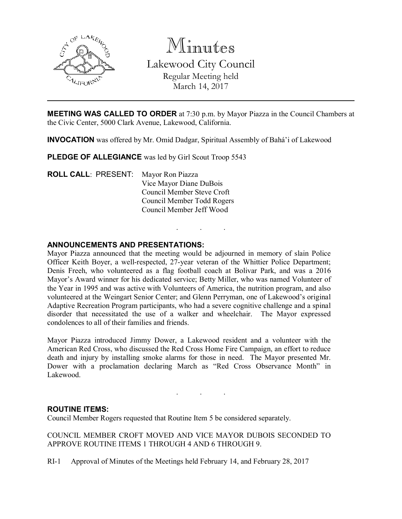

Minutes

Lakewood City Council Regular Meeting held March 14, 2017

MEETING WAS CALLED TO ORDER at 7:30 p.m. by Mayor Piazza in the Council Chambers at the Civic Center, 5000 Clark Avenue, Lakewood, California.

. . .

INVOCATION was offered by Mr. Omid Dadgar, Spiritual Assembly of Bahá'i of Lakewood

PLEDGE OF ALLEGIANCE was led by Girl Scout Troop 5543

ROLL CALL: PRESENT: Mayor Ron Piazza Vice Mayor Diane DuBois Council Member Steve Croft Council Member Todd Rogers Council Member Jeff Wood

## ANNOUNCEMENTS AND PRESENTATIONS:

Mayor Piazza announced that the meeting would be adjourned in memory of slain Police Officer Keith Boyer, a well-respected, 27-year veteran of the Whittier Police Department; Denis Freeh, who volunteered as a flag football coach at Bolivar Park, and was a 2016 Mayor's Award winner for his dedicated service; Betty Miller, who was named Volunteer of the Year in 1995 and was active with Volunteers of America, the nutrition program, and also volunteered at the Weingart Senior Center; and Glenn Perryman, one of Lakewood's original Adaptive Recreation Program participants, who had a severe cognitive challenge and a spinal disorder that necessitated the use of a walker and wheelchair. The Mayor expressed condolences to all of their families and friends.

Mayor Piazza introduced Jimmy Dower, a Lakewood resident and a volunteer with the American Red Cross, who discussed the Red Cross Home Fire Campaign, an effort to reduce death and injury by installing smoke alarms for those in need. The Mayor presented Mr. Dower with a proclamation declaring March as "Red Cross Observance Month" in Lakewood.

. . .

### ROUTINE ITEMS:

Council Member Rogers requested that Routine Item 5 be considered separately.

COUNCIL MEMBER CROFT MOVED AND VICE MAYOR DUBOIS SECONDED TO APPROVE ROUTINE ITEMS 1 THROUGH 4 AND 6 THROUGH 9.

RI-1 Approval of Minutes of the Meetings held February 14, and February 28, 2017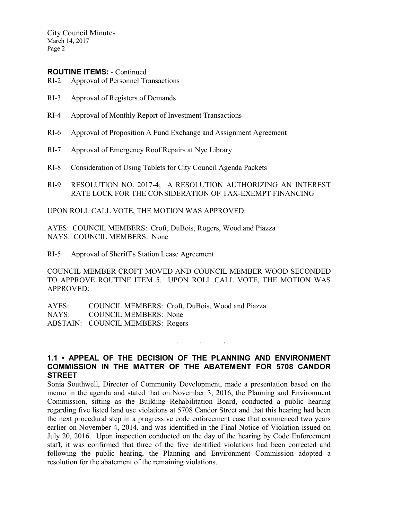City Council Minutes March 14, 2017 Page 2

### ROUTINE ITEMS: - Continued

- RI-2 Approval of Personnel Transactions
- RI-3 Approval of Registers of Demands
- RI-4 Approval of Monthly Report of Investment Transactions
- RI-6 Approval of Proposition A Fund Exchange and Assignment Agreement
- RI-7 Approval of Emergency Roof Repairs at Nye Library
- RI-8 Consideration of Using Tablets for City Council Agenda Packets
- RI-9 RESOLUTION NO. 2017-4; A RESOLUTION AUTHORIZING AN INTEREST RATE LOCK FOR THE CONSIDERATION OF TAX-EXEMPT FINANCING

UPON ROLL CALL VOTE, THE MOTION WAS APPROVED:

AYES: COUNCIL MEMBERS: Croft, DuBois, Rogers, Wood and Piazza NAYS: COUNCIL MEMBERS: None

RI-5 Approval of Sheriff's Station Lease Agreement

COUNCIL MEMBER CROFT MOVED AND COUNCIL MEMBER WOOD SECONDED TO APPROVE ROUTINE ITEM 5. UPON ROLL CALL VOTE, THE MOTION WAS APPROVED:

AYES: COUNCIL MEMBERS: Croft, DuBois, Wood and Piazza NAYS: COUNCIL MEMBERS: None ABSTAIN: COUNCIL MEMBERS: Rogers

## 1.1 • APPEAL OF THE DECISION OF THE PLANNING AND ENVIRONMENT COMMISSION IN THE MATTER OF THE ABATEMENT FOR 5708 CANDOR **STREET**

. . .

Sonia Southwell, Director of Community Development, made a presentation based on the memo in the agenda and stated that on November 3, 2016, the Planning and Environment Commission, sitting as the Building Rehabilitation Board, conducted a public hearing regarding five listed land use violations at 5708 Candor Street and that this hearing had been the next procedural step in a progressive code enforcement case that commenced two years earlier on November 4, 2014, and was identified in the Final Notice of Violation issued on July 20, 2016. Upon inspection conducted on the day of the hearing by Code Enforcement staff, it was confirmed that three of the five identified violations had been corrected and following the public hearing, the Planning and Environment Commission adopted a resolution for the abatement of the remaining violations.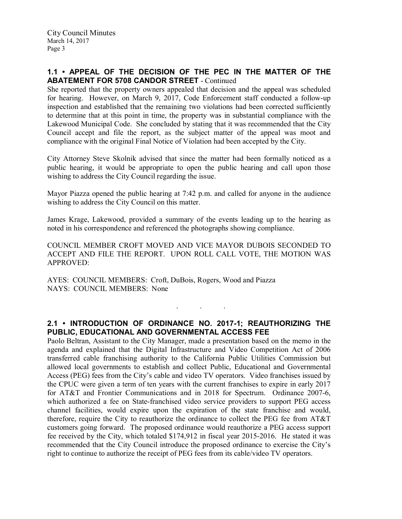# 1.1 • APPEAL OF THE DECISION OF THE PEC IN THE MATTER OF THE ABATEMENT FOR 5708 CANDOR STREET - Continued

She reported that the property owners appealed that decision and the appeal was scheduled for hearing. However, on March 9, 2017, Code Enforcement staff conducted a follow-up inspection and established that the remaining two violations had been corrected sufficiently to determine that at this point in time, the property was in substantial compliance with the Lakewood Municipal Code. She concluded by stating that it was recommended that the City Council accept and file the report, as the subject matter of the appeal was moot and compliance with the original Final Notice of Violation had been accepted by the City.

City Attorney Steve Skolnik advised that since the matter had been formally noticed as a public hearing, it would be appropriate to open the public hearing and call upon those wishing to address the City Council regarding the issue.

Mayor Piazza opened the public hearing at 7:42 p.m. and called for anyone in the audience wishing to address the City Council on this matter.

James Krage, Lakewood, provided a summary of the events leading up to the hearing as noted in his correspondence and referenced the photographs showing compliance.

COUNCIL MEMBER CROFT MOVED AND VICE MAYOR DUBOIS SECONDED TO ACCEPT AND FILE THE REPORT. UPON ROLL CALL VOTE, THE MOTION WAS APPROVED:

AYES: COUNCIL MEMBERS: Croft, DuBois, Rogers, Wood and Piazza NAYS: COUNCIL MEMBERS: None

# 2.1 • INTRODUCTION OF ORDINANCE NO. 2017-1; REAUTHORIZING THE PUBLIC, EDUCATIONAL AND GOVERNMENTAL ACCESS FEE

. . .

Paolo Beltran, Assistant to the City Manager, made a presentation based on the memo in the agenda and explained that the Digital Infrastructure and Video Competition Act of 2006 transferred cable franchising authority to the California Public Utilities Commission but allowed local governments to establish and collect Public, Educational and Governmental Access (PEG) fees from the City's cable and video TV operators. Video franchises issued by the CPUC were given a term of ten years with the current franchises to expire in early 2017 for AT&T and Frontier Communications and in 2018 for Spectrum. Ordinance 2007-6, which authorized a fee on State-franchised video service providers to support PEG access channel facilities, would expire upon the expiration of the state franchise and would, therefore, require the City to reauthorize the ordinance to collect the PEG fee from AT&T customers going forward. The proposed ordinance would reauthorize a PEG access support fee received by the City, which totaled \$174,912 in fiscal year 2015-2016. He stated it was recommended that the City Council introduce the proposed ordinance to exercise the City's right to continue to authorize the receipt of PEG fees from its cable/video TV operators.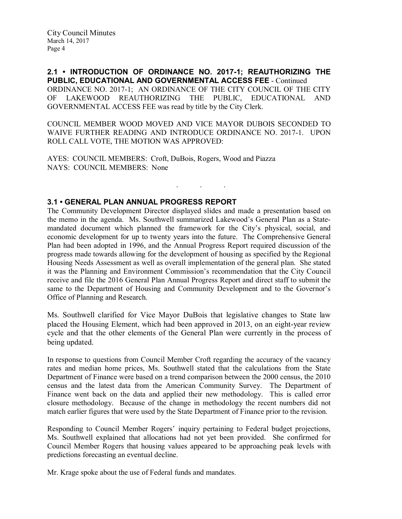2.1 • INTRODUCTION OF ORDINANCE NO. 2017-1; REAUTHORIZING THE PUBLIC, EDUCATIONAL AND GOVERNMENTAL ACCESS FEE - Continued ORDINANCE NO. 2017-1; AN ORDINANCE OF THE CITY COUNCIL OF THE CITY OF LAKEWOOD REAUTHORIZING THE PUBLIC, EDUCATIONAL AND GOVERNMENTAL ACCESS FEE was read by title by the City Clerk.

COUNCIL MEMBER WOOD MOVED AND VICE MAYOR DUBOIS SECONDED TO WAIVE FURTHER READING AND INTRODUCE ORDINANCE NO. 2017-1. UPON ROLL CALL VOTE, THE MOTION WAS APPROVED:

. . .

AYES: COUNCIL MEMBERS: Croft, DuBois, Rogers, Wood and Piazza NAYS: COUNCIL MEMBERS: None

# 3.1 • GENERAL PLAN ANNUAL PROGRESS REPORT

The Community Development Director displayed slides and made a presentation based on the memo in the agenda. Ms. Southwell summarized Lakewood's General Plan as a Statemandated document which planned the framework for the City's physical, social, and economic development for up to twenty years into the future. The Comprehensive General Plan had been adopted in 1996, and the Annual Progress Report required discussion of the progress made towards allowing for the development of housing as specified by the Regional Housing Needs Assessment as well as overall implementation of the general plan. She stated it was the Planning and Environment Commission's recommendation that the City Council receive and file the 2016 General Plan Annual Progress Report and direct staff to submit the same to the Department of Housing and Community Development and to the Governor's Office of Planning and Research.

Ms. Southwell clarified for Vice Mayor DuBois that legislative changes to State law placed the Housing Element, which had been approved in 2013, on an eight-year review cycle and that the other elements of the General Plan were currently in the process of being updated.

In response to questions from Council Member Croft regarding the accuracy of the vacancy rates and median home prices, Ms. Southwell stated that the calculations from the State Department of Finance were based on a trend comparison between the 2000 census, the 2010 census and the latest data from the American Community Survey. The Department of Finance went back on the data and applied their new methodology. This is called error closure methodology. Because of the change in methodology the recent numbers did not match earlier figures that were used by the State Department of Finance prior to the revision.

Responding to Council Member Rogers' inquiry pertaining to Federal budget projections, Ms. Southwell explained that allocations had not yet been provided. She confirmed for Council Member Rogers that housing values appeared to be approaching peak levels with predictions forecasting an eventual decline.

Mr. Krage spoke about the use of Federal funds and mandates.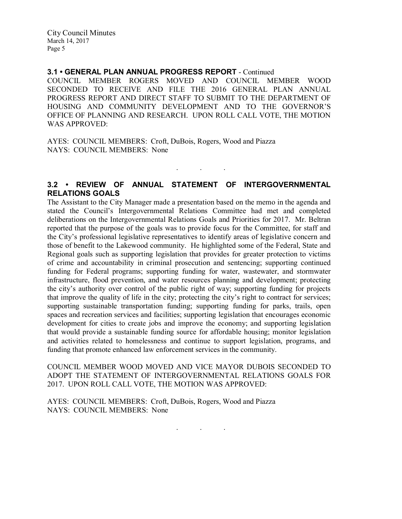City Council Minutes March 14, 2017 Page 5

### 3.1 • GENERAL PLAN ANNUAL PROGRESS REPORT - Continued

COUNCIL MEMBER ROGERS MOVED AND COUNCIL MEMBER WOOD SECONDED TO RECEIVE AND FILE THE 2016 GENERAL PLAN ANNUAL PROGRESS REPORT AND DIRECT STAFF TO SUBMIT TO THE DEPARTMENT OF HOUSING AND COMMUNITY DEVELOPMENT AND TO THE GOVERNOR'S OFFICE OF PLANNING AND RESEARCH. UPON ROLL CALL VOTE, THE MOTION WAS APPROVED:

AYES: COUNCIL MEMBERS: Croft, DuBois, Rogers, Wood and Piazza NAYS: COUNCIL MEMBERS: None

# 3.2 • REVIEW OF ANNUAL STATEMENT OF INTERGOVERNMENTAL RELATIONS GOALS

 $\mathbf{r}$  .  $\mathbf{r}$  ,  $\mathbf{r}$  ,  $\mathbf{r}$  ,  $\mathbf{r}$  ,  $\mathbf{r}$  ,  $\mathbf{r}$ 

The Assistant to the City Manager made a presentation based on the memo in the agenda and stated the Council's Intergovernmental Relations Committee had met and completed deliberations on the Intergovernmental Relations Goals and Priorities for 2017. Mr. Beltran reported that the purpose of the goals was to provide focus for the Committee, for staff and the City's professional legislative representatives to identify areas of legislative concern and those of benefit to the Lakewood community. He highlighted some of the Federal, State and Regional goals such as supporting legislation that provides for greater protection to victims of crime and accountability in criminal prosecution and sentencing; supporting continued funding for Federal programs; supporting funding for water, wastewater, and stormwater infrastructure, flood prevention, and water resources planning and development; protecting the city's authority over control of the public right of way; supporting funding for projects that improve the quality of life in the city; protecting the city's right to contract for services; supporting sustainable transportation funding; supporting funding for parks, trails, open spaces and recreation services and facilities; supporting legislation that encourages economic development for cities to create jobs and improve the economy; and supporting legislation that would provide a sustainable funding source for affordable housing; monitor legislation and activities related to homelessness and continue to support legislation, programs, and funding that promote enhanced law enforcement services in the community.

COUNCIL MEMBER WOOD MOVED AND VICE MAYOR DUBOIS SECONDED TO ADOPT THE STATEMENT OF INTERGOVERNMENTAL RELATIONS GOALS FOR 2017. UPON ROLL CALL VOTE, THE MOTION WAS APPROVED:

AYES: COUNCIL MEMBERS: Croft, DuBois, Rogers, Wood and Piazza NAYS: COUNCIL MEMBERS: None

. . .